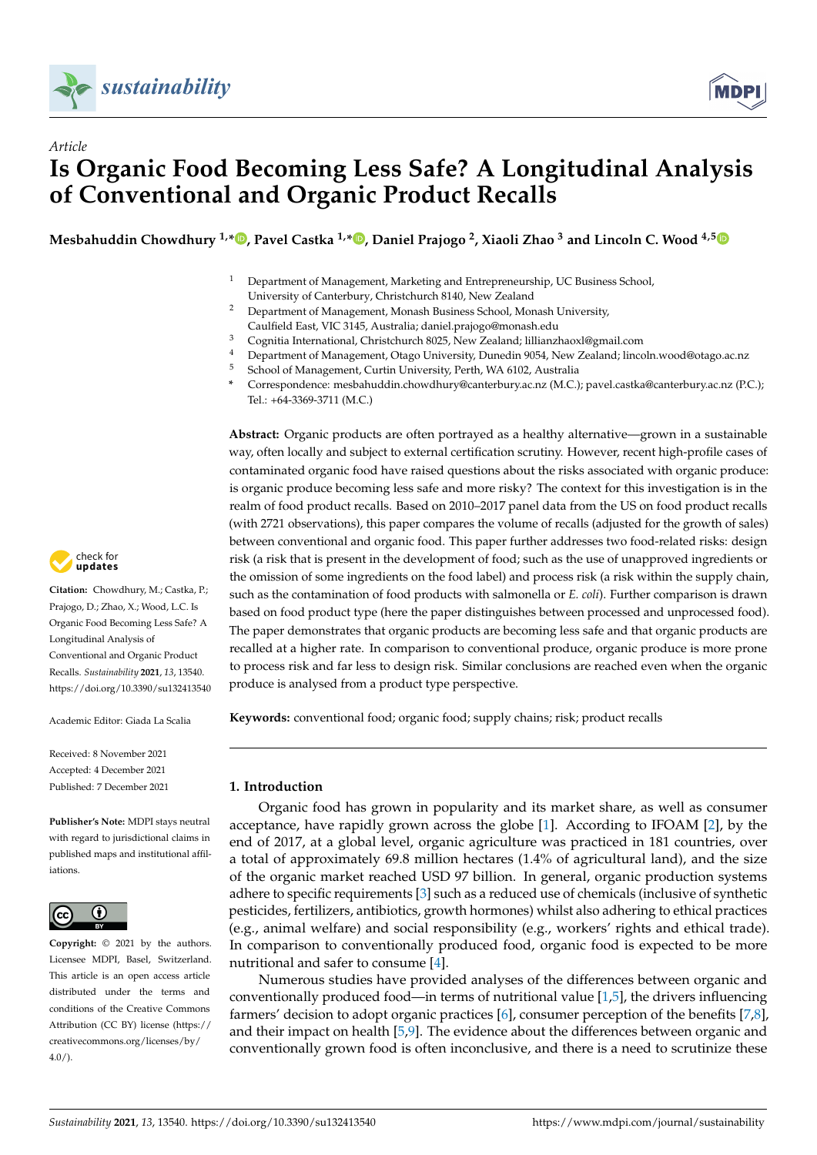

*Article*



# **Is Organic Food Becoming Less Safe? A Longitudinal Analysis of Conventional and Organic Product Recalls**

**Mesbahuddin Chowdhury 1,[\\*](https://orcid.org/0000-0003-0658-8899) , Pavel Castka 1,[\\*](https://orcid.org/0000-0003-1936-021X) , Daniel Prajogo <sup>2</sup> , Xiaoli Zhao <sup>3</sup> and Lincoln C. Wood 4,[5](https://orcid.org/0000-0003-3385-6561)**



- <sup>2</sup> Department of Management, Monash Business School, Monash University,
- Caulfield East, VIC 3145, Australia; daniel.prajogo@monash.edu
- <sup>3</sup> Cognitia International, Christchurch 8025, New Zealand; lillianzhaoxl@gmail.com
- 4 Department of Management, Otago University, Dunedin 9054, New Zealand; lincoln.wood@otago.ac.nz<br>5 Sebase of Management, Curtin University, Darth, WA 6102, Australia <sup>5</sup> School of Management, Curtin University, Perth, WA 6102, Australia
- **\*** Correspondence: mesbahuddin.chowdhury@canterbury.ac.nz (M.C.); pavel.castka@canterbury.ac.nz (P.C.); Tel.: +64-3369-3711 (M.C.)

**Abstract:** Organic products are often portrayed as a healthy alternative—grown in a sustainable way, often locally and subject to external certification scrutiny. However, recent high-profile cases of contaminated organic food have raised questions about the risks associated with organic produce: is organic produce becoming less safe and more risky? The context for this investigation is in the realm of food product recalls. Based on 2010–2017 panel data from the US on food product recalls (with 2721 observations), this paper compares the volume of recalls (adjusted for the growth of sales) between conventional and organic food. This paper further addresses two food-related risks: design risk (a risk that is present in the development of food; such as the use of unapproved ingredients or the omission of some ingredients on the food label) and process risk (a risk within the supply chain, such as the contamination of food products with salmonella or *E. coli*). Further comparison is drawn based on food product type (here the paper distinguishes between processed and unprocessed food). The paper demonstrates that organic products are becoming less safe and that organic products are recalled at a higher rate. In comparison to conventional produce, organic produce is more prone to process risk and far less to design risk. Similar conclusions are reached even when the organic produce is analysed from a product type perspective.

**Keywords:** conventional food; organic food; supply chains; risk; product recalls

# **1. Introduction**

Organic food has grown in popularity and its market share, as well as consumer acceptance, have rapidly grown across the globe [\[1\]](#page-12-0). According to IFOAM [\[2\]](#page-12-1), by the end of 2017, at a global level, organic agriculture was practiced in 181 countries, over a total of approximately 69.8 million hectares (1.4% of agricultural land), and the size of the organic market reached USD 97 billion. In general, organic production systems adhere to specific requirements [\[3\]](#page-12-2) such as a reduced use of chemicals (inclusive of synthetic pesticides, fertilizers, antibiotics, growth hormones) whilst also adhering to ethical practices (e.g., animal welfare) and social responsibility (e.g., workers' rights and ethical trade). In comparison to conventionally produced food, organic food is expected to be more nutritional and safer to consume [\[4\]](#page-12-3).

Numerous studies have provided analyses of the differences between organic and conventionally produced food—in terms of nutritional value [\[1](#page-12-0)[,5\]](#page-12-4), the drivers influencing farmers' decision to adopt organic practices [\[6\]](#page-12-5), consumer perception of the benefits [\[7,](#page-12-6)[8\]](#page-12-7), and their impact on health [\[5](#page-12-4)[,9\]](#page-12-8). The evidence about the differences between organic and conventionally grown food is often inconclusive, and there is a need to scrutinize these



**Citation:** Chowdhury, M.; Castka, P.; Prajogo, D.; Zhao, X.; Wood, L.C. Is Organic Food Becoming Less Safe? A Longitudinal Analysis of Conventional and Organic Product Recalls. *Sustainability* **2021**, *13*, 13540. <https://doi.org/10.3390/su132413540>

Academic Editor: Giada La Scalia

Received: 8 November 2021 Accepted: 4 December 2021 Published: 7 December 2021

**Publisher's Note:** MDPI stays neutral with regard to jurisdictional claims in published maps and institutional affiliations.



**Copyright:** © 2021 by the authors. Licensee MDPI, Basel, Switzerland. This article is an open access article distributed under the terms and conditions of the Creative Commons Attribution (CC BY) license (https:/[/](https://creativecommons.org/licenses/by/4.0/) [creativecommons.org/licenses/by/](https://creativecommons.org/licenses/by/4.0/) 4.0/).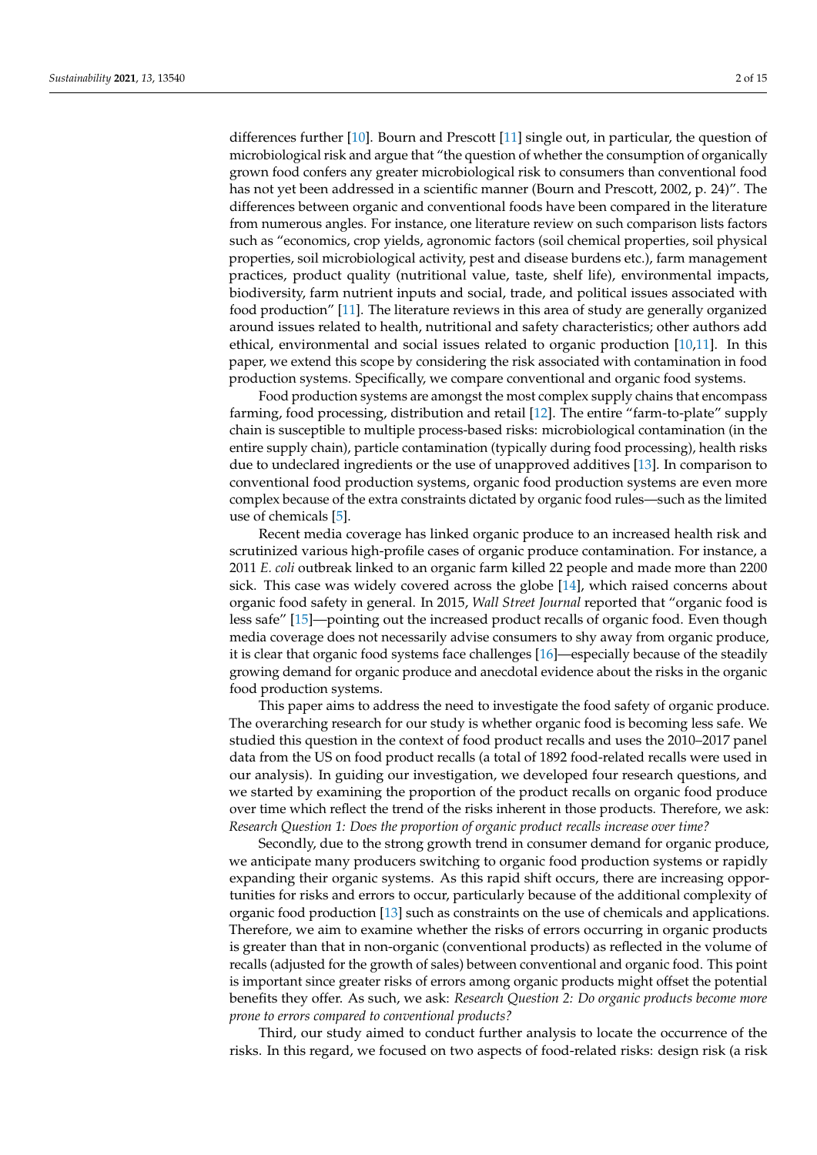differences further [\[10\]](#page-12-9). Bourn and Prescott [\[11\]](#page-12-10) single out, in particular, the question of microbiological risk and argue that "the question of whether the consumption of organically grown food confers any greater microbiological risk to consumers than conventional food has not yet been addressed in a scientific manner (Bourn and Prescott, 2002, p. 24)". The differences between organic and conventional foods have been compared in the literature from numerous angles. For instance, one literature review on such comparison lists factors such as "economics, crop yields, agronomic factors (soil chemical properties, soil physical properties, soil microbiological activity, pest and disease burdens etc.), farm management practices, product quality (nutritional value, taste, shelf life), environmental impacts, biodiversity, farm nutrient inputs and social, trade, and political issues associated with food production" [\[11\]](#page-12-10). The literature reviews in this area of study are generally organized around issues related to health, nutritional and safety characteristics; other authors add ethical, environmental and social issues related to organic production [\[10,](#page-12-9)[11\]](#page-12-10). In this paper, we extend this scope by considering the risk associated with contamination in food production systems. Specifically, we compare conventional and organic food systems.

Food production systems are amongst the most complex supply chains that encompass farming, food processing, distribution and retail [\[12\]](#page-12-11). The entire "farm-to-plate" supply chain is susceptible to multiple process-based risks: microbiological contamination (in the entire supply chain), particle contamination (typically during food processing), health risks due to undeclared ingredients or the use of unapproved additives [\[13\]](#page-13-0). In comparison to conventional food production systems, organic food production systems are even more complex because of the extra constraints dictated by organic food rules—such as the limited use of chemicals [\[5\]](#page-12-4).

Recent media coverage has linked organic produce to an increased health risk and scrutinized various high-profile cases of organic produce contamination. For instance, a 2011 *E. coli* outbreak linked to an organic farm killed 22 people and made more than 2200 sick. This case was widely covered across the globe [\[14\]](#page-13-1), which raised concerns about organic food safety in general. In 2015, *Wall Street Journal* reported that "organic food is less safe" [\[15\]](#page-13-2)—pointing out the increased product recalls of organic food. Even though media coverage does not necessarily advise consumers to shy away from organic produce, it is clear that organic food systems face challenges [\[16\]](#page-13-3)—especially because of the steadily growing demand for organic produce and anecdotal evidence about the risks in the organic food production systems.

This paper aims to address the need to investigate the food safety of organic produce. The overarching research for our study is whether organic food is becoming less safe. We studied this question in the context of food product recalls and uses the 2010–2017 panel data from the US on food product recalls (a total of 1892 food-related recalls were used in our analysis). In guiding our investigation, we developed four research questions, and we started by examining the proportion of the product recalls on organic food produce over time which reflect the trend of the risks inherent in those products. Therefore, we ask: *Research Question 1: Does the proportion of organic product recalls increase over time?*

Secondly, due to the strong growth trend in consumer demand for organic produce, we anticipate many producers switching to organic food production systems or rapidly expanding their organic systems. As this rapid shift occurs, there are increasing opportunities for risks and errors to occur, particularly because of the additional complexity of organic food production [\[13\]](#page-13-0) such as constraints on the use of chemicals and applications. Therefore, we aim to examine whether the risks of errors occurring in organic products is greater than that in non-organic (conventional products) as reflected in the volume of recalls (adjusted for the growth of sales) between conventional and organic food. This point is important since greater risks of errors among organic products might offset the potential benefits they offer. As such, we ask: *Research Question 2: Do organic products become more prone to errors compared to conventional products?*

Third, our study aimed to conduct further analysis to locate the occurrence of the risks. In this regard, we focused on two aspects of food-related risks: design risk (a risk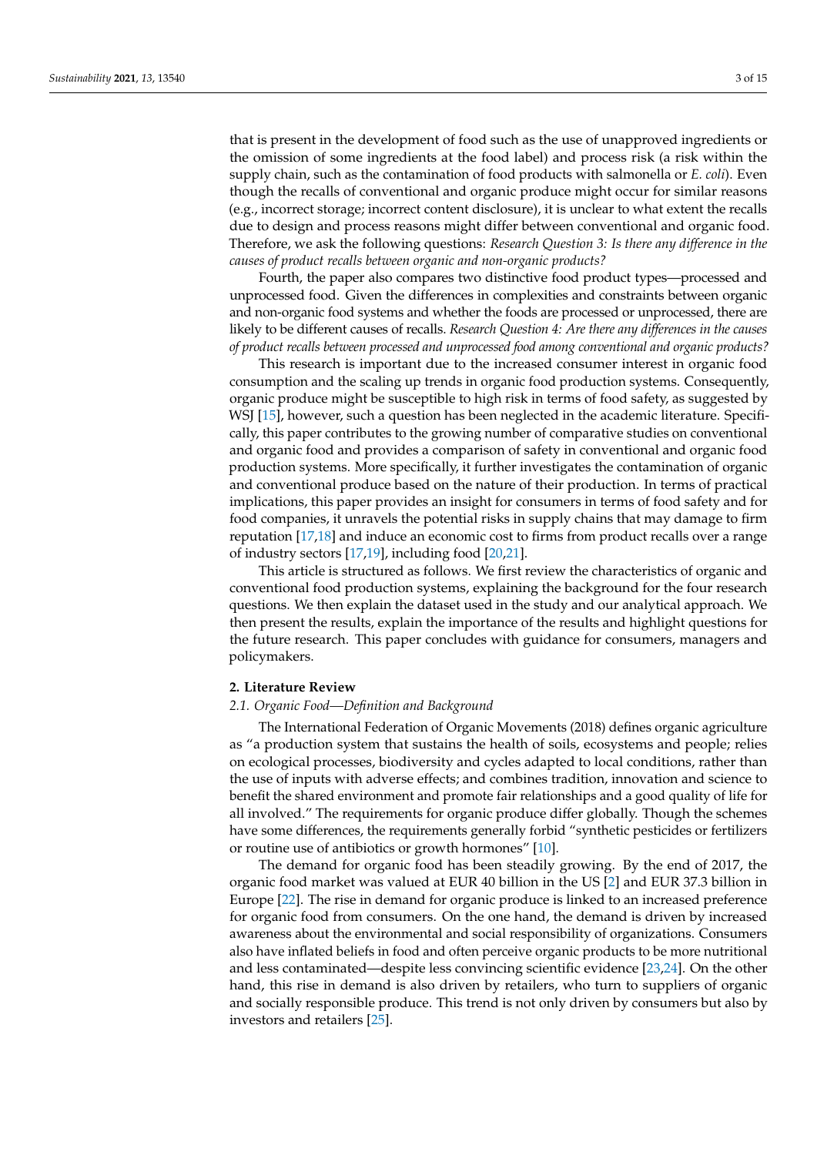that is present in the development of food such as the use of unapproved ingredients or the omission of some ingredients at the food label) and process risk (a risk within the supply chain, such as the contamination of food products with salmonella or *E. coli*). Even though the recalls of conventional and organic produce might occur for similar reasons (e.g., incorrect storage; incorrect content disclosure), it is unclear to what extent the recalls due to design and process reasons might differ between conventional and organic food. Therefore, we ask the following questions: *Research Question 3: Is there any difference in the causes of product recalls between organic and non-organic products?*

Fourth, the paper also compares two distinctive food product types—processed and unprocessed food. Given the differences in complexities and constraints between organic and non-organic food systems and whether the foods are processed or unprocessed, there are likely to be different causes of recalls. *Research Question 4: Are there any differences in the causes of product recalls between processed and unprocessed food among conventional and organic products?*

This research is important due to the increased consumer interest in organic food consumption and the scaling up trends in organic food production systems. Consequently, organic produce might be susceptible to high risk in terms of food safety, as suggested by WSJ [\[15\]](#page-13-2), however, such a question has been neglected in the academic literature. Specifically, this paper contributes to the growing number of comparative studies on conventional and organic food and provides a comparison of safety in conventional and organic food production systems. More specifically, it further investigates the contamination of organic and conventional produce based on the nature of their production. In terms of practical implications, this paper provides an insight for consumers in terms of food safety and for food companies, it unravels the potential risks in supply chains that may damage to firm reputation [\[17,](#page-13-4)[18\]](#page-13-5) and induce an economic cost to firms from product recalls over a range of industry sectors [\[17](#page-13-4)[,19\]](#page-13-6), including food [\[20](#page-13-7)[,21\]](#page-13-8).

This article is structured as follows. We first review the characteristics of organic and conventional food production systems, explaining the background for the four research questions. We then explain the dataset used in the study and our analytical approach. We then present the results, explain the importance of the results and highlight questions for the future research. This paper concludes with guidance for consumers, managers and policymakers.

#### **2. Literature Review**

#### *2.1. Organic Food—Definition and Background*

The International Federation of Organic Movements (2018) defines organic agriculture as "a production system that sustains the health of soils, ecosystems and people; relies on ecological processes, biodiversity and cycles adapted to local conditions, rather than the use of inputs with adverse effects; and combines tradition, innovation and science to benefit the shared environment and promote fair relationships and a good quality of life for all involved." The requirements for organic produce differ globally. Though the schemes have some differences, the requirements generally forbid "synthetic pesticides or fertilizers or routine use of antibiotics or growth hormones" [\[10\]](#page-12-9).

The demand for organic food has been steadily growing. By the end of 2017, the organic food market was valued at EUR 40 billion in the US [\[2\]](#page-12-1) and EUR 37.3 billion in Europe [\[22\]](#page-13-9). The rise in demand for organic produce is linked to an increased preference for organic food from consumers. On the one hand, the demand is driven by increased awareness about the environmental and social responsibility of organizations. Consumers also have inflated beliefs in food and often perceive organic products to be more nutritional and less contaminated—despite less convincing scientific evidence [\[23](#page-13-10)[,24\]](#page-13-11). On the other hand, this rise in demand is also driven by retailers, who turn to suppliers of organic and socially responsible produce. This trend is not only driven by consumers but also by investors and retailers [\[25\]](#page-13-12).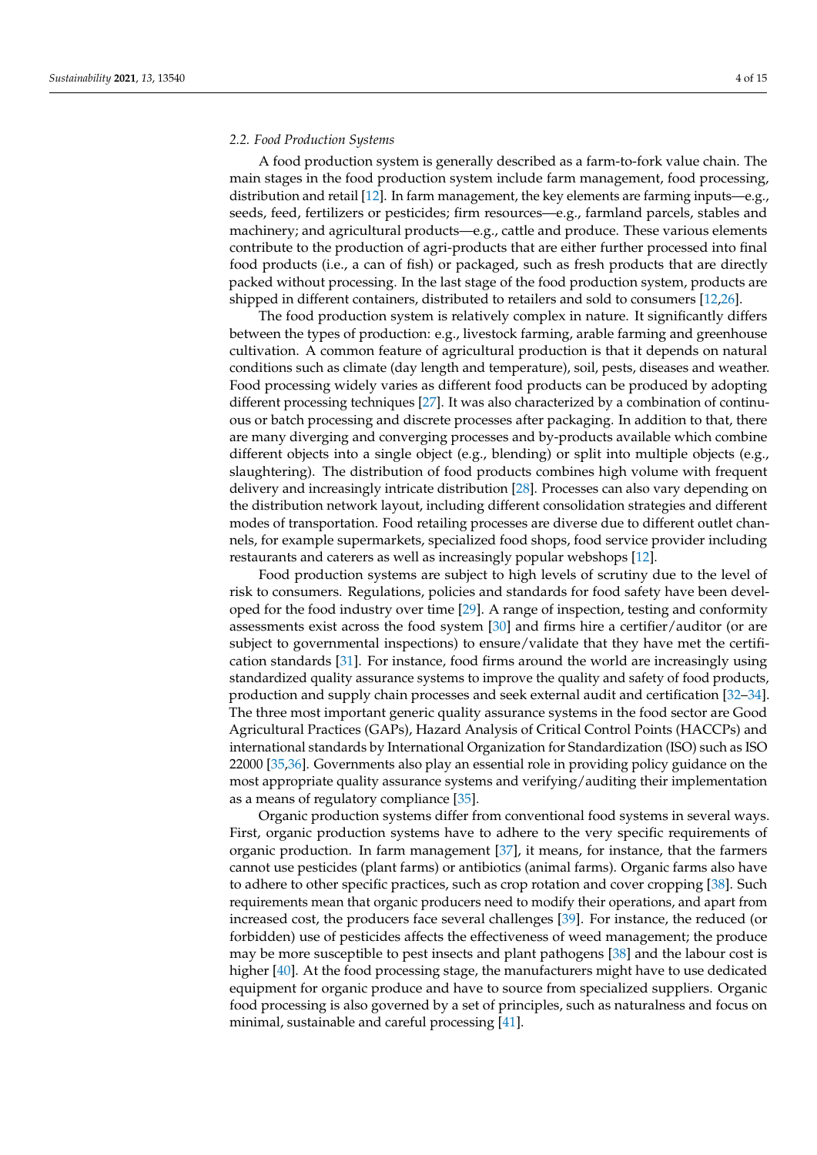#### *2.2. Food Production Systems*

A food production system is generally described as a farm-to-fork value chain. The main stages in the food production system include farm management, food processing, distribution and retail [\[12\]](#page-12-11). In farm management, the key elements are farming inputs—e.g., seeds, feed, fertilizers or pesticides; firm resources—e.g., farmland parcels, stables and machinery; and agricultural products—e.g., cattle and produce. These various elements contribute to the production of agri-products that are either further processed into final food products (i.e., a can of fish) or packaged, such as fresh products that are directly packed without processing. In the last stage of the food production system, products are shipped in different containers, distributed to retailers and sold to consumers [\[12,](#page-12-11)[26\]](#page-13-13).

The food production system is relatively complex in nature. It significantly differs between the types of production: e.g., livestock farming, arable farming and greenhouse cultivation. A common feature of agricultural production is that it depends on natural conditions such as climate (day length and temperature), soil, pests, diseases and weather. Food processing widely varies as different food products can be produced by adopting different processing techniques [\[27\]](#page-13-14). It was also characterized by a combination of continuous or batch processing and discrete processes after packaging. In addition to that, there are many diverging and converging processes and by-products available which combine different objects into a single object (e.g., blending) or split into multiple objects (e.g., slaughtering). The distribution of food products combines high volume with frequent delivery and increasingly intricate distribution [\[28\]](#page-13-15). Processes can also vary depending on the distribution network layout, including different consolidation strategies and different modes of transportation. Food retailing processes are diverse due to different outlet channels, for example supermarkets, specialized food shops, food service provider including restaurants and caterers as well as increasingly popular webshops [\[12\]](#page-12-11).

Food production systems are subject to high levels of scrutiny due to the level of risk to consumers. Regulations, policies and standards for food safety have been developed for the food industry over time [\[29\]](#page-13-16). A range of inspection, testing and conformity assessments exist across the food system [\[30\]](#page-13-17) and firms hire a certifier/auditor (or are subject to governmental inspections) to ensure/validate that they have met the certification standards [\[31\]](#page-13-18). For instance, food firms around the world are increasingly using standardized quality assurance systems to improve the quality and safety of food products, production and supply chain processes and seek external audit and certification [\[32](#page-13-19)[–34\]](#page-13-20). The three most important generic quality assurance systems in the food sector are Good Agricultural Practices (GAPs), Hazard Analysis of Critical Control Points (HACCPs) and international standards by International Organization for Standardization (ISO) such as ISO 22000 [\[35,](#page-13-21)[36\]](#page-13-22). Governments also play an essential role in providing policy guidance on the most appropriate quality assurance systems and verifying/auditing their implementation as a means of regulatory compliance [\[35\]](#page-13-21).

Organic production systems differ from conventional food systems in several ways. First, organic production systems have to adhere to the very specific requirements of organic production. In farm management [\[37\]](#page-13-23), it means, for instance, that the farmers cannot use pesticides (plant farms) or antibiotics (animal farms). Organic farms also have to adhere to other specific practices, such as crop rotation and cover cropping [\[38\]](#page-13-24). Such requirements mean that organic producers need to modify their operations, and apart from increased cost, the producers face several challenges [\[39\]](#page-13-25). For instance, the reduced (or forbidden) use of pesticides affects the effectiveness of weed management; the produce may be more susceptible to pest insects and plant pathogens [\[38\]](#page-13-24) and the labour cost is higher [\[40\]](#page-13-26). At the food processing stage, the manufacturers might have to use dedicated equipment for organic produce and have to source from specialized suppliers. Organic food processing is also governed by a set of principles, such as naturalness and focus on minimal, sustainable and careful processing [\[41\]](#page-13-27).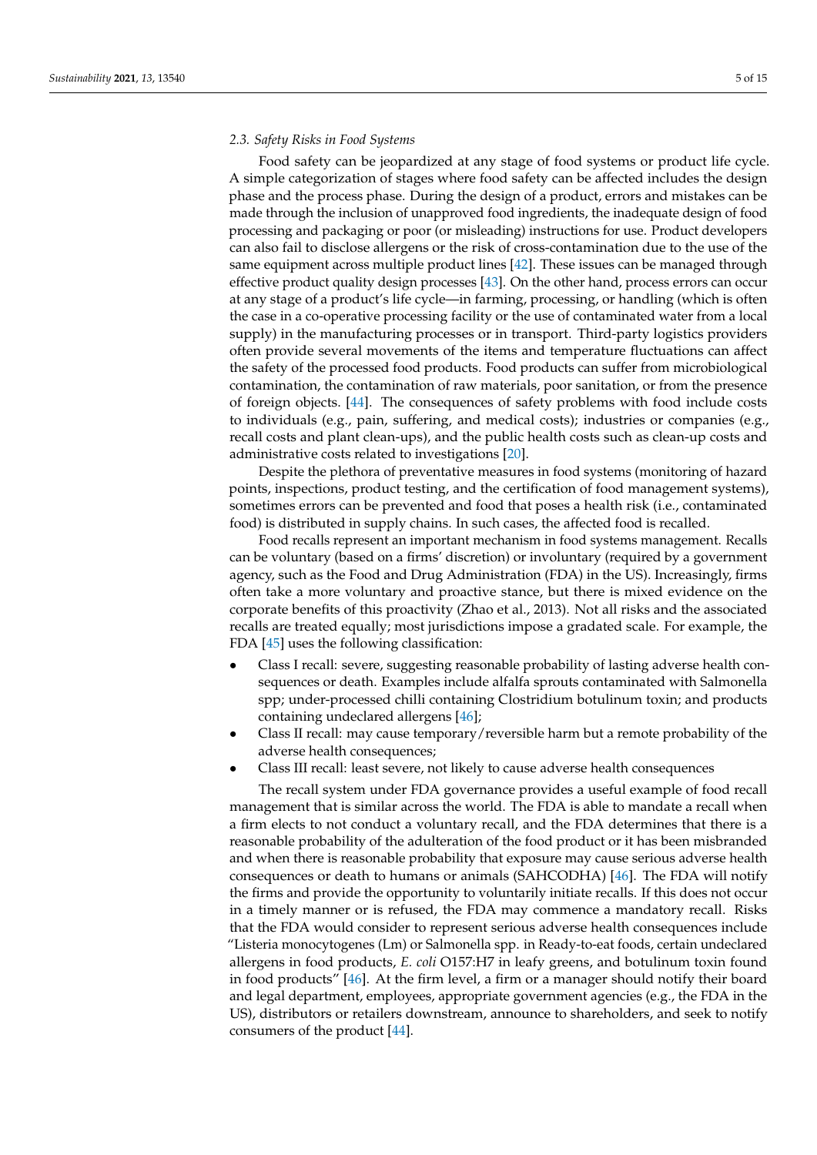#### *2.3. Safety Risks in Food Systems*

Food safety can be jeopardized at any stage of food systems or product life cycle. A simple categorization of stages where food safety can be affected includes the design phase and the process phase. During the design of a product, errors and mistakes can be made through the inclusion of unapproved food ingredients, the inadequate design of food processing and packaging or poor (or misleading) instructions for use. Product developers can also fail to disclose allergens or the risk of cross-contamination due to the use of the same equipment across multiple product lines [\[42\]](#page-13-28). These issues can be managed through effective product quality design processes [\[43\]](#page-14-0). On the other hand, process errors can occur at any stage of a product's life cycle—in farming, processing, or handling (which is often the case in a co-operative processing facility or the use of contaminated water from a local supply) in the manufacturing processes or in transport. Third-party logistics providers often provide several movements of the items and temperature fluctuations can affect the safety of the processed food products. Food products can suffer from microbiological contamination, the contamination of raw materials, poor sanitation, or from the presence of foreign objects. [\[44\]](#page-14-1). The consequences of safety problems with food include costs to individuals (e.g., pain, suffering, and medical costs); industries or companies (e.g., recall costs and plant clean-ups), and the public health costs such as clean-up costs and administrative costs related to investigations [\[20\]](#page-13-7).

Despite the plethora of preventative measures in food systems (monitoring of hazard points, inspections, product testing, and the certification of food management systems), sometimes errors can be prevented and food that poses a health risk (i.e., contaminated food) is distributed in supply chains. In such cases, the affected food is recalled.

Food recalls represent an important mechanism in food systems management. Recalls can be voluntary (based on a firms' discretion) or involuntary (required by a government agency, such as the Food and Drug Administration (FDA) in the US). Increasingly, firms often take a more voluntary and proactive stance, but there is mixed evidence on the corporate benefits of this proactivity (Zhao et al., 2013). Not all risks and the associated recalls are treated equally; most jurisdictions impose a gradated scale. For example, the FDA [\[45\]](#page-14-2) uses the following classification:

- Class I recall: severe, suggesting reasonable probability of lasting adverse health consequences or death. Examples include alfalfa sprouts contaminated with Salmonella spp; under-processed chilli containing Clostridium botulinum toxin; and products containing undeclared allergens [\[46\]](#page-14-3);
- Class II recall: may cause temporary/reversible harm but a remote probability of the adverse health consequences;
- Class III recall: least severe, not likely to cause adverse health consequences

The recall system under FDA governance provides a useful example of food recall management that is similar across the world. The FDA is able to mandate a recall when a firm elects to not conduct a voluntary recall, and the FDA determines that there is a reasonable probability of the adulteration of the food product or it has been misbranded and when there is reasonable probability that exposure may cause serious adverse health consequences or death to humans or animals (SAHCODHA) [\[46\]](#page-14-3). The FDA will notify the firms and provide the opportunity to voluntarily initiate recalls. If this does not occur in a timely manner or is refused, the FDA may commence a mandatory recall. Risks that the FDA would consider to represent serious adverse health consequences include "Listeria monocytogenes (Lm) or Salmonella spp. in Ready-to-eat foods, certain undeclared allergens in food products, *E. coli* O157:H7 in leafy greens, and botulinum toxin found in food products" [\[46\]](#page-14-3). At the firm level, a firm or a manager should notify their board and legal department, employees, appropriate government agencies (e.g., the FDA in the US), distributors or retailers downstream, announce to shareholders, and seek to notify consumers of the product [\[44\]](#page-14-1).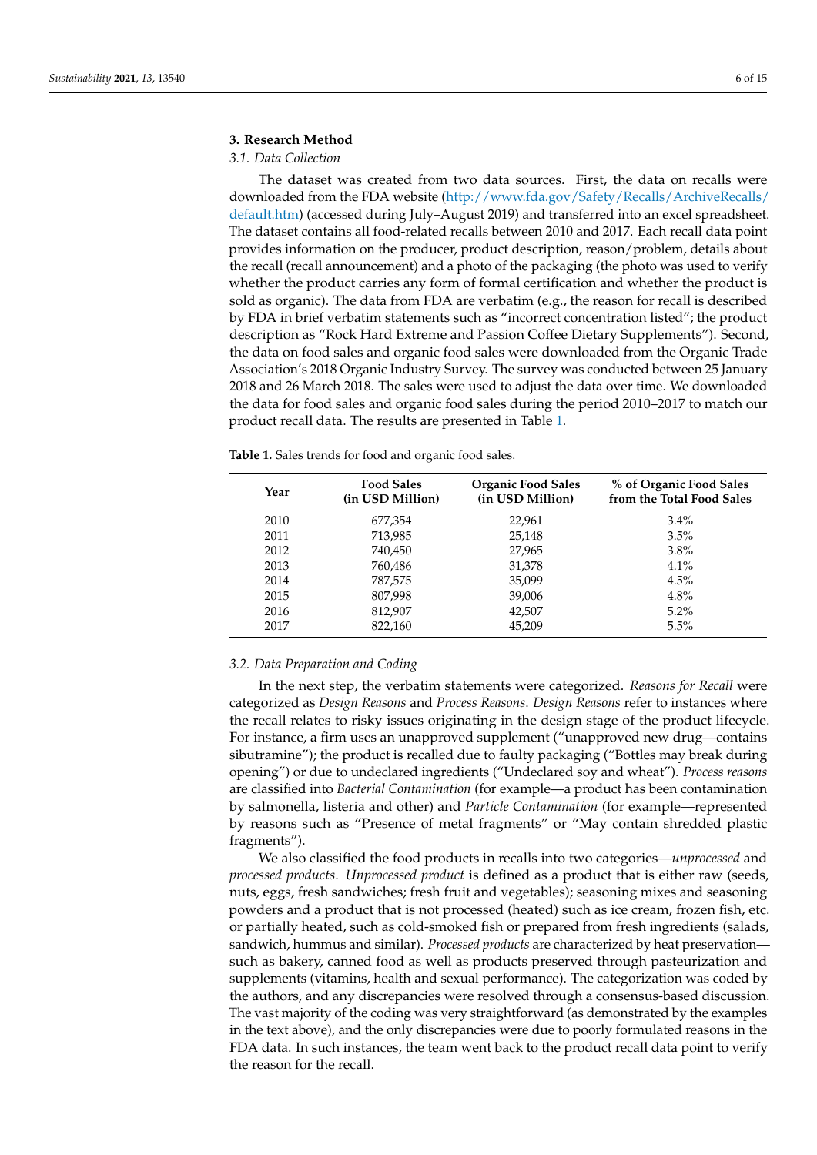## **3. Research Method**

# *3.1. Data Collection*

The dataset was created from two data sources. First, the data on recalls were downloaded from the FDA website [\(http://www.fda.gov/Safety/Recalls/ArchiveRecalls/](http://www.fda.gov/Safety/Recalls/ArchiveRecalls/default.htm) [default.htm\)](http://www.fda.gov/Safety/Recalls/ArchiveRecalls/default.htm) (accessed during July–August 2019) and transferred into an excel spreadsheet. The dataset contains all food-related recalls between 2010 and 2017. Each recall data point provides information on the producer, product description, reason/problem, details about the recall (recall announcement) and a photo of the packaging (the photo was used to verify whether the product carries any form of formal certification and whether the product is sold as organic). The data from FDA are verbatim (e.g., the reason for recall is described by FDA in brief verbatim statements such as "incorrect concentration listed"; the product description as "Rock Hard Extreme and Passion Coffee Dietary Supplements"). Second, the data on food sales and organic food sales were downloaded from the Organic Trade Association's 2018 Organic Industry Survey. The survey was conducted between 25 January 2018 and 26 March 2018. The sales were used to adjust the data over time. We downloaded the data for food sales and organic food sales during the period 2010–2017 to match our product recall data. The results are presented in Table [1.](#page-5-0)

| Year | <b>Food Sales</b><br>(in USD Million) | <b>Organic Food Sales</b><br>(in USD Million) | % of Organic Food Sales<br>from the Total Food Sales |
|------|---------------------------------------|-----------------------------------------------|------------------------------------------------------|
| 2010 | 677,354                               | 22,961                                        | $3.4\%$                                              |
| 2011 | 713,985                               | 25,148                                        | 3.5%                                                 |
| 2012 | 740,450                               | 27,965                                        | $3.8\%$                                              |
| 2013 | 760,486                               | 31,378                                        | 4.1%                                                 |
| 2014 | 787,575                               | 35,099                                        | 4.5%                                                 |
| 2015 | 807,998                               | 39,006                                        | 4.8%                                                 |
| 2016 | 812,907                               | 42,507                                        | $5.2\%$                                              |
| 2017 | 822,160                               | 45.209                                        | 5.5%                                                 |

<span id="page-5-0"></span>**Table 1.** Sales trends for food and organic food sales.

#### *3.2. Data Preparation and Coding*

In the next step, the verbatim statements were categorized. *Reasons for Recall* were categorized as *Design Reasons* and *Process Reasons*. *Design Reasons* refer to instances where the recall relates to risky issues originating in the design stage of the product lifecycle. For instance, a firm uses an unapproved supplement ("unapproved new drug—contains sibutramine"); the product is recalled due to faulty packaging ("Bottles may break during opening") or due to undeclared ingredients ("Undeclared soy and wheat"). *Process reasons* are classified into *Bacterial Contamination* (for example—a product has been contamination by salmonella, listeria and other) and *Particle Contamination* (for example—represented by reasons such as "Presence of metal fragments" or "May contain shredded plastic fragments").

We also classified the food products in recalls into two categories—*unprocessed* and *processed products*. *Unprocessed product* is defined as a product that is either raw (seeds, nuts, eggs, fresh sandwiches; fresh fruit and vegetables); seasoning mixes and seasoning powders and a product that is not processed (heated) such as ice cream, frozen fish, etc. or partially heated, such as cold-smoked fish or prepared from fresh ingredients (salads, sandwich, hummus and similar). *Processed products* are characterized by heat preservation such as bakery, canned food as well as products preserved through pasteurization and supplements (vitamins, health and sexual performance). The categorization was coded by the authors, and any discrepancies were resolved through a consensus-based discussion. The vast majority of the coding was very straightforward (as demonstrated by the examples in the text above), and the only discrepancies were due to poorly formulated reasons in the FDA data. In such instances, the team went back to the product recall data point to verify the reason for the recall.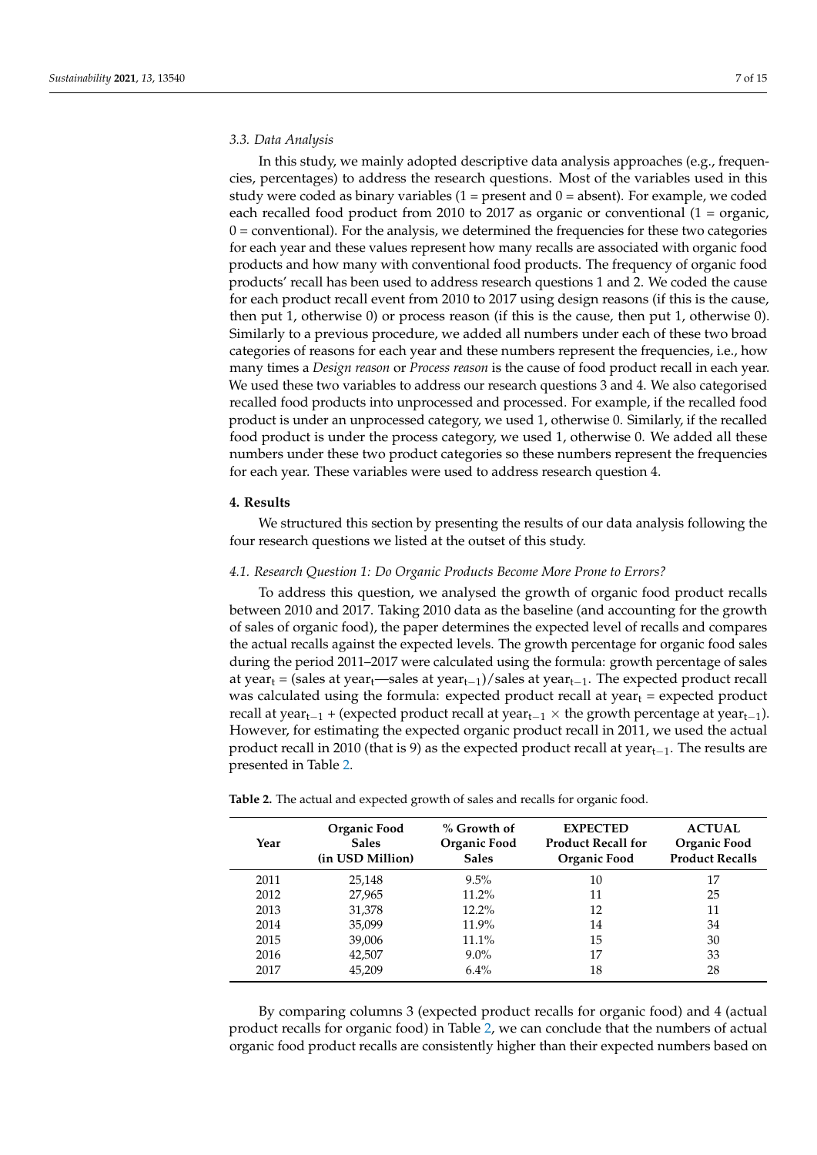#### *3.3. Data Analysis*

In this study, we mainly adopted descriptive data analysis approaches (e.g., frequencies, percentages) to address the research questions. Most of the variables used in this study were coded as binary variables  $(1 = present and 0 = absent)$ . For example, we coded each recalled food product from 2010 to 2017 as organic or conventional (1 = organic,  $0 =$  conventional). For the analysis, we determined the frequencies for these two categories for each year and these values represent how many recalls are associated with organic food products and how many with conventional food products. The frequency of organic food products' recall has been used to address research questions 1 and 2. We coded the cause for each product recall event from 2010 to 2017 using design reasons (if this is the cause, then put 1, otherwise 0) or process reason (if this is the cause, then put 1, otherwise 0). Similarly to a previous procedure, we added all numbers under each of these two broad categories of reasons for each year and these numbers represent the frequencies, i.e., how many times a *Design reason* or *Process reason* is the cause of food product recall in each year. We used these two variables to address our research questions 3 and 4. We also categorised recalled food products into unprocessed and processed. For example, if the recalled food product is under an unprocessed category, we used 1, otherwise 0. Similarly, if the recalled food product is under the process category, we used 1, otherwise 0. We added all these numbers under these two product categories so these numbers represent the frequencies for each year. These variables were used to address research question 4.

## **4. Results**

We structured this section by presenting the results of our data analysis following the four research questions we listed at the outset of this study.

#### *4.1. Research Question 1: Do Organic Products Become More Prone to Errors?*

To address this question, we analysed the growth of organic food product recalls between 2010 and 2017. Taking 2010 data as the baseline (and accounting for the growth of sales of organic food), the paper determines the expected level of recalls and compares the actual recalls against the expected levels. The growth percentage for organic food sales during the period 2011–2017 were calculated using the formula: growth percentage of sales at year<sub>t</sub> = (sales at year<sub>t</sub>—sales at year<sub>t−1</sub>)/sales at year<sub>t−1</sub>. The expected product recall was calculated using the formula: expected product recall at  $year_t = expected$  product recall at year<sub>t−1</sub> + (expected product recall at year<sub>t−1</sub>  $\times$  the growth percentage at year<sub>t−1</sub>). However, for estimating the expected organic product recall in 2011, we used the actual product recall in 2010 (that is 9) as the expected product recall at year $_{t-1}$ . The results are presented in Table [2.](#page-6-0)

| Year | Organic Food<br><b>Sales</b><br>(in USD Million) | % Growth of<br>Organic Food<br><b>Sales</b> | <b>EXPECTED</b><br><b>Product Recall for</b><br>Organic Food | <b>ACTUAL</b><br>Organic Food<br><b>Product Recalls</b> |
|------|--------------------------------------------------|---------------------------------------------|--------------------------------------------------------------|---------------------------------------------------------|
| 2011 | 25,148                                           | $9.5\%$                                     | 10                                                           | 17                                                      |
| 2012 | 27,965                                           | $11.2\%$                                    | 11                                                           | 25                                                      |
| 2013 | 31,378                                           | $12.2\%$                                    | 12                                                           | 11                                                      |
| 2014 | 35,099                                           | $11.9\%$                                    | 14                                                           | 34                                                      |
| 2015 | 39,006                                           | $11.1\%$                                    | 15                                                           | 30                                                      |
| 2016 | 42,507                                           | $9.0\%$                                     | 17                                                           | 33                                                      |
| 2017 | 45,209                                           | $6.4\%$                                     | 18                                                           | 28                                                      |

<span id="page-6-0"></span>**Table 2.** The actual and expected growth of sales and recalls for organic food.

By comparing columns 3 (expected product recalls for organic food) and 4 (actual product recalls for organic food) in Table [2,](#page-6-0) we can conclude that the numbers of actual organic food product recalls are consistently higher than their expected numbers based on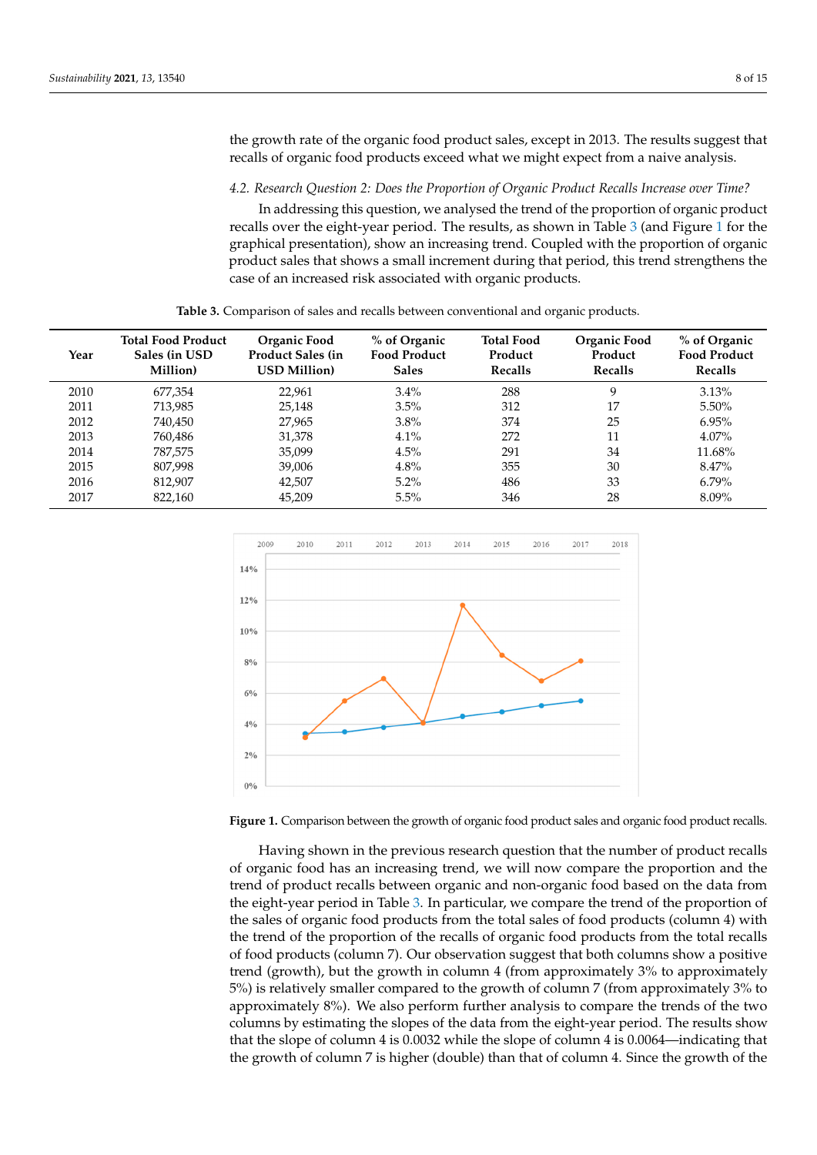the growth rate of the organic food product sales, except in 2013. The results suggest that recalls of organic food products exceed what we might expect from a naive analysis.

4.2. Research Question 2: Does the Proportion of Organic Product Recalls Increase over Time?

In addressing this question, we analysed the trend of the proportion of organic product recalls over the eight-year period. The results, as shown in Table [3](#page-7-0) (and Figure [1](#page-7-1) for the graphical presentation), show an increasing trend. Coupled with the proportion of organic<br>2017 45,209 6.4% 18 28 6.4% 18 289 6.4% 18 289 6.4% 18 289 6.4% 18 289 6.4% 18 289 6.4% 18 289 6.4% 18 289 6.4 product sales that shows a small increment during that period, this trend strengthens the case of an increased risk associated with organic products.  $\mathcal{O}$  (expected product recalls for organic for organic for organic for organic for organic for organic for  $\mathcal{O}$ 

| Table 3. Comparison of sales and recalls between conventional and organic products. |  |
|-------------------------------------------------------------------------------------|--|
|-------------------------------------------------------------------------------------|--|

<span id="page-7-0"></span>

| Year | <b>Total Food Product</b><br>Sales (in USD)<br>Million) | Organic Food<br><b>Product Sales (in)</b><br><b>USD Million</b> ) | % of Organic<br><b>Food Product</b><br><b>Sales</b> | <b>Total Food</b><br>Product<br>Recalls | Organic Food<br>Product<br>Recalls | % of Organic<br><b>Food Product</b><br>Recalls |
|------|---------------------------------------------------------|-------------------------------------------------------------------|-----------------------------------------------------|-----------------------------------------|------------------------------------|------------------------------------------------|
| 2010 | 677,354                                                 | 22,961                                                            | $3.4\%$                                             | 288                                     | 9                                  | 3.13%                                          |
| 2011 | 713,985                                                 | 25,148                                                            | $3.5\%$                                             | 312                                     | 17                                 | 5.50%                                          |
| 2012 | 740,450                                                 | 27,965                                                            | $3.8\%$                                             | 374                                     | 25                                 | 6.95%                                          |
| 2013 | 760,486                                                 | 31,378                                                            | 4.1%                                                | 272                                     | 11                                 | $4.07\%$                                       |
| 2014 | 787.575                                                 | 35.099                                                            | 4.5%                                                | 291                                     | 34                                 | 11.68%                                         |
| 2015 | 807,998                                                 | 39,006                                                            | 4.8%                                                | 355                                     | 30                                 | 8.47%                                          |
| 2016 | 812.907                                                 | 42,507                                                            | $5.2\%$                                             | 486                                     | 33                                 | $6.79\%$                                       |
| 2017 | 822,160                                                 | 45,209                                                            | $5.5\%$                                             | 346                                     | 28                                 | 8.09%                                          |

<span id="page-7-1"></span>

**Figure 1.** Comparison between the growth of organic food product sales and organic food product **Figure 1.** Comparison between the growth of organic food product sales and organic food product recalls. recalls.

of organic food has an increasing trend, we will now compare the proportion and the the eight-year period in Table [3.](#page-7-0) In particular, we compare the trend of the proportion of the sales of organic food products from the total sales of food products (column 4) with the sales of organic food products from the total sales of food products (column 4) white<br>the trend of the proportion of the recalls of organic food products from the total recalls of food products (column 7). Our observation suggest that both columns show a positive  $200$  Section  $200$  is relatively smaller compared to the growth of column 7 (from approximately 3% to approximately  $8\%$ ). We also perform further analysis to compare the trends of the two columns by estimating the slopes of the data from the eight-year period. The results show that the slope of column 4 is 0.0032 while the slope of column 4 is 0.0064—indicating that the growth of column 7 is higher (double) than that of column 4. Since the growth of the Having shown in the previous research question that the number of product recalls trend of product recalls between organic and non-organic food based on the data from trend (growth), but the growth in column 4 (from approximately 3% to approximately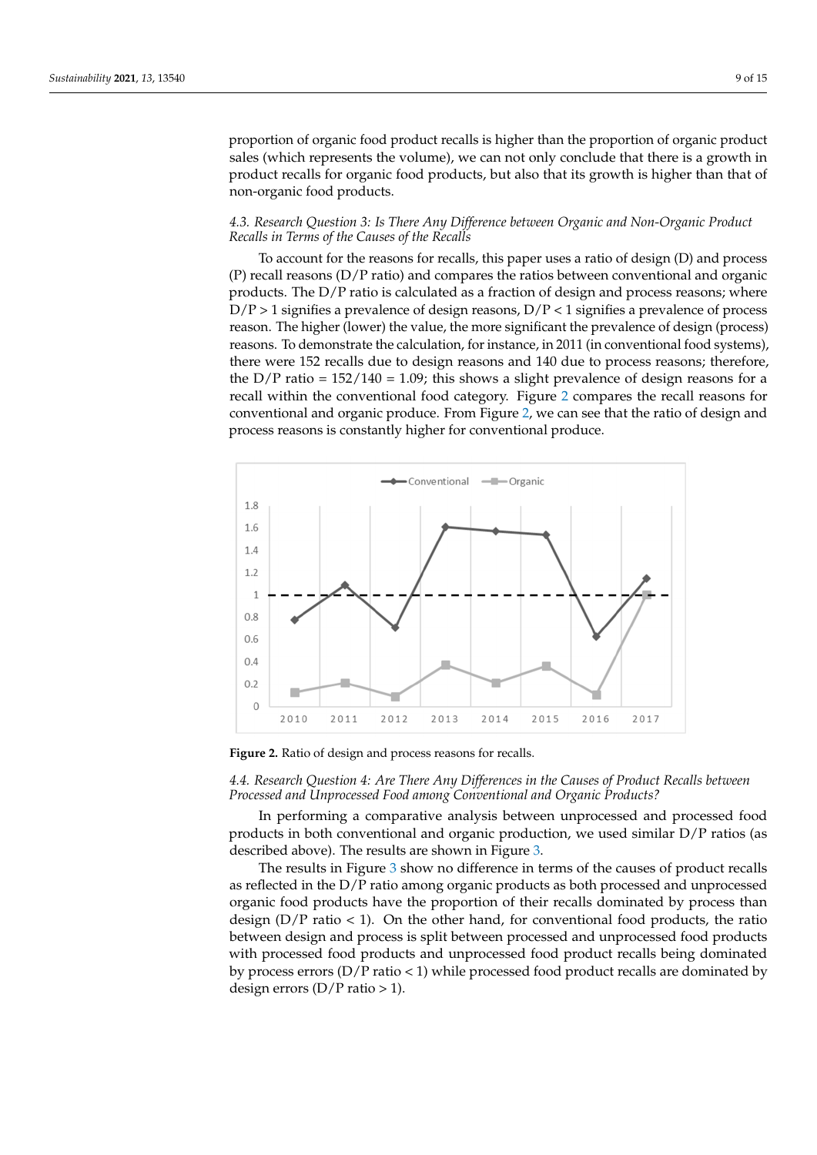proportion of organic food product recalls is higher than the proportion of organic product sales (which represents the volume), we can not only conclude that there is a growth in product recalls for organic food products, but also that its growth is higher than that of non-organic food products. *Recalls in Terms of the Causes of the Recalls* 

#### 4.3. Research Question 3: Is There Any Difference between Organic and Non-Organic Product<br>Pack of the reasons for a ratio of the reasons of the reasons for the reasons for the reasons of the reasons fo *Recalls in Terms of the Causes of the Recalls* (P) recalls in ferms of the causes of the recalls

To account for the reasons for recalls, this paper uses a ratio of design (D) and process  $\alpha$  recall reasons (D/P ratio) and compares the ratios between conventional and organic (P) recall reasons (D/P ratio) and compares the ratios between conventional and organic  $p_{\text{total}}$  and  $p_{\text{total}}$  and  $p_{\text{total}}$  and  $p_{\text{total}}$  and  $p_{\text{total}}$  and  $p_{\text{total}}$  and  $p_{\text{total}}$  and  $p_{\text{total}}$  and  $p_{\text{total}}$  are products. The D/P ratio is calculated as a fraction of design and process reasons; where  $\overline{D}/P > 1$  signifies a prevalence of design reasons,  $D/P < 1$  signifies a prevalence of process reason. The higher (lower) the value, the more significant the prevalence of design (process) reasons. To demonstrate the calculation, for instance, in 2011 (in conventional food systems), there were 152 recalls due to design reasons and 140 due to process reasons; therefore,<br> $\frac{1}{2}$ the  $D/P$  ratio = 152/140 = 1.09; this shows a slight prevalence of design reasons for a  $rac{1}{100}$  and  $rac{1}{2}$  $rac{1}{2}$  $rac{1}{2}$   $rac{1}{100}$  =  $rac{1}{20}$ , this shows a significant provalence of design reasons for a recall within the conventional food category. Figure 2 compares the recall reasons for conventional and organic produce. From Figure [2,](#page-8-0) we can see that the ratio of design and process reasons is constantly higher for conventional produce.

<span id="page-8-0"></span>

**Figure 2.** Ratio of design and process reasons for recalls. **Figure 2.** Ratio of design and process reasons for recalls.

*4.4. Research Question 4: Are There Any Differences in the Causes of Product Recalls between Processed and Unprocessed Food among Conventional and Organic Products? 4.4. Research Question 4: Are There Any Differences in the Causes of Product Recalls between*

*Processed and Unprocessed Food among Conventional and Organic Products?*  In performing a comparative analysis between unprocessed and processed food described above). The results are shown in Figure [3.](#page-9-0) products in both conventional and organic production, we used similar D/P ratios (as

The results in Figure 3 show no differ[en](#page-9-0)ce in terms of the causes of product recalls as reflected in the D/P ratio among organic products as both processed and unprocessed organic food products have the proportion of their recalls dominated by process than design  $(D/P \text{ ratio} < 1)$ . On the other hand, for conventional food products, the ratio between design and process is spin between processed and unprocessed rood products<br>with processed food products and unprocessed food product recalls being dominated by process errors (D/P ratio < 1) while processed food product recalls are dominated by  $s$  design errors (D/P ratio > 1). between design and process is split between processed and unprocessed food products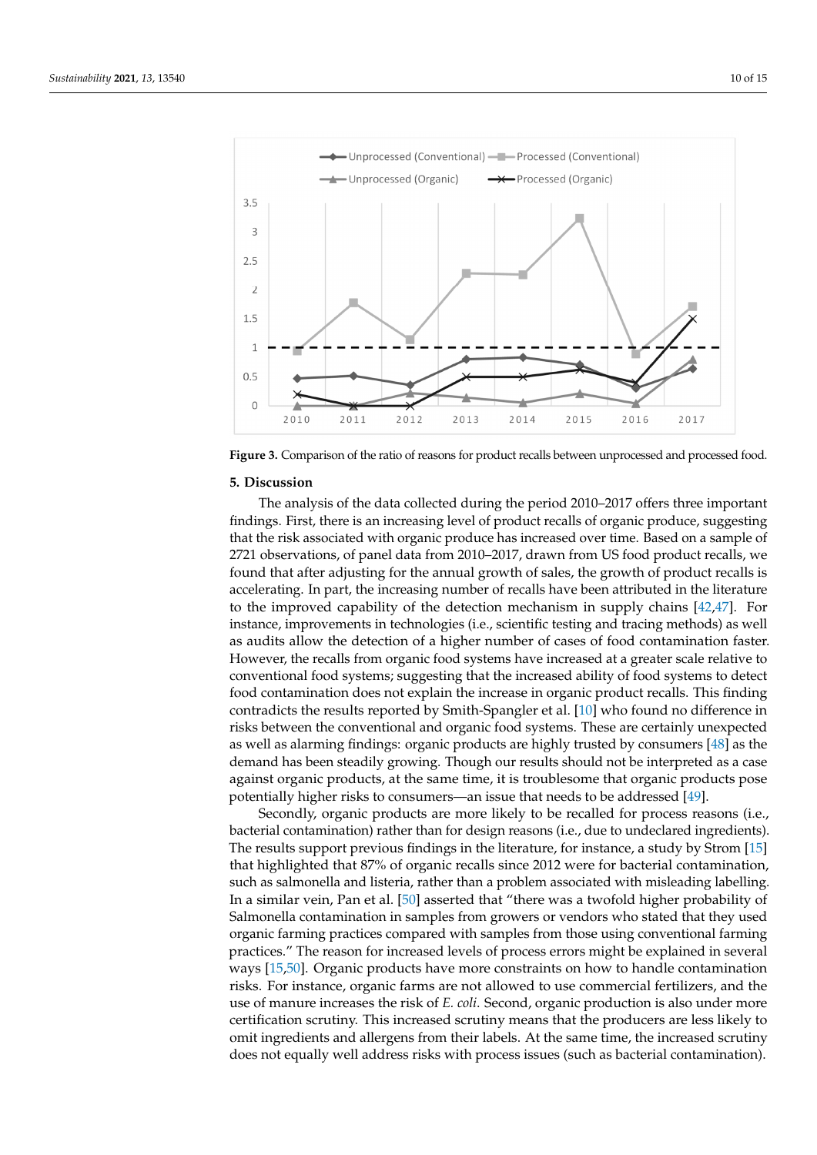<span id="page-9-0"></span>

**Figure 3.** Comparison of the ratio of reasons for product recalls between unprocessed and processed food. **Figure 3.** Comparison of the ratio of reasons for product recalls between unprocessed and processed food.

#### **5. Discussion**

**5. Discussion**  Fire during the data collected during the period 2010–2017 offers three important findings. First, there is an increasing level of product recalls of organic produce, suggesting findings. First, there is an increasing level of product recalls of organic produce, suggest-that the risk associated with organic produce has increased over time. Based on a sample of ing that the risk associated with organic produce has increased over time. Based on a sam-2721 observations, of panel data from 2010–2017, drawn from US food product recalls, we ple of 2721 observations, or panel data from 2011–2017, drawn from 2010 product recalls, we<br>found that after adjusting for the annual growth of sales, the growth of product recalls is calls, we found that after adjusting for the annual growth of sales, the growth of product accelerating. In part, the increasing number of recalls have been attributed in the literature recalls is accelerating. In part, the increasing number of recalls have been attributed in the to the improved capability of the detection mechanism in supply chains [\[42](#page-13-28)[,47\]](#page-14-4). For instance, improvements in technologies (i.e., scientific testing and tracing methods) as well For instance, improvements in technologies (i.e., scientific testing and tracing methods) as as audits allow the detection of a higher number of cases of food contamination faster. well as audits allow the detection of a higher number of cases of food contamination faster. However, the recalls from organic food systems have increased at a greater scale relative to Forwards, the recalls from organic food systems have increased at a greater calle relative to detect conventional food systems; suggesting that the increased ability of food systems to detect food contamination does not explain the increased ability of food systems to detect<br>food contamination does not explain the increase in organic product recalls. This finding tect food contamination does not explain the increase in organic product recalls. This find-contradicts the results reported by Smith-Spangler et al. [\[10\]](#page-12-9) who found no difference in risks between the conventional and organic food systems. These are certainly unexpected risks between the conventional and organic food systems. These are certainly unexpected in risks between the conventional and organic food systems. These are certainly unex-as well as alarming findings: organic products are highly trusted by consumers [\[48\]](#page-14-5) as the demand has been steadily growing. Though our results should not be interpreted as a case Example has been steading, growing. Though our results shown not be interpreted in a case<br>against organic products, at the same time, it is troublesome that organic products pose preted as a case against organic products, at the same time, it is troublesome that organic potentially higher risks to consumers—an issue that needs to be addressed [\[49\]](#page-14-6). The analysis of the data collected during the period 2010–2017 offers three important

products are more likely to be recalled for process reasons (i.e., Secondly, organic products are more likely to be recalled for process reasons (i.e., [49]. bacterial contamination) rather than for design reasons (i.e., due to undeclared ingredients). The results support previous findings in the literature, for instance, a study by Strom [\[15\]](#page-13-2) that highlighted that 87% of organic recalls since 2012 were for bacterial contamination, ents ingiting in the results support previous finding in the literature of the literature, such as salmonella and listeria, rather than a problem associated with misleading labelling. Figure that distribution that all the contamination that the problem association with mission and give emitgency. In a similar vein, Pan et al. [\[50\]](#page-14-7) asserted that "there was a twofold higher probability of tion, such as salmonella and listeria, rather than a problem associated with misleading Salmonella contamination in samples from growers or vendors who stated that they used organic farming practices compared with samples from those using conventional farming organic farming practices compared with samples from those using conventional farming practices." The reason for increased levels of process errors might be explained in several practices. The reason for increased to case or process critics magnetic organization ways [\[15](#page-13-2)[,50\]](#page-14-7). Organic products have more constraints on how to handle contamination risks. For instance, organic farms are not allowed to use commercial fertilizers, and the nexter For metallice) erganic rarms are not allowed to also confinement revalisely, and the use of manure increases the risk of *E. coli*. Second, organic production is also under more contamination risks. For instance, organic farms are not allowed to use commercial ferti-certification scrutiny. This increased scrutiny means that the producers are less likely to omit ingredients and allergens from their labels. At the same time, the increased scrutiny omit ingredients and allergens from their labels. At the same time, the increased scrutiny also under more certification scruting that the producers increased scrutiny. The producers certification does not equally well address risks with process issues (such as bacterial contamination).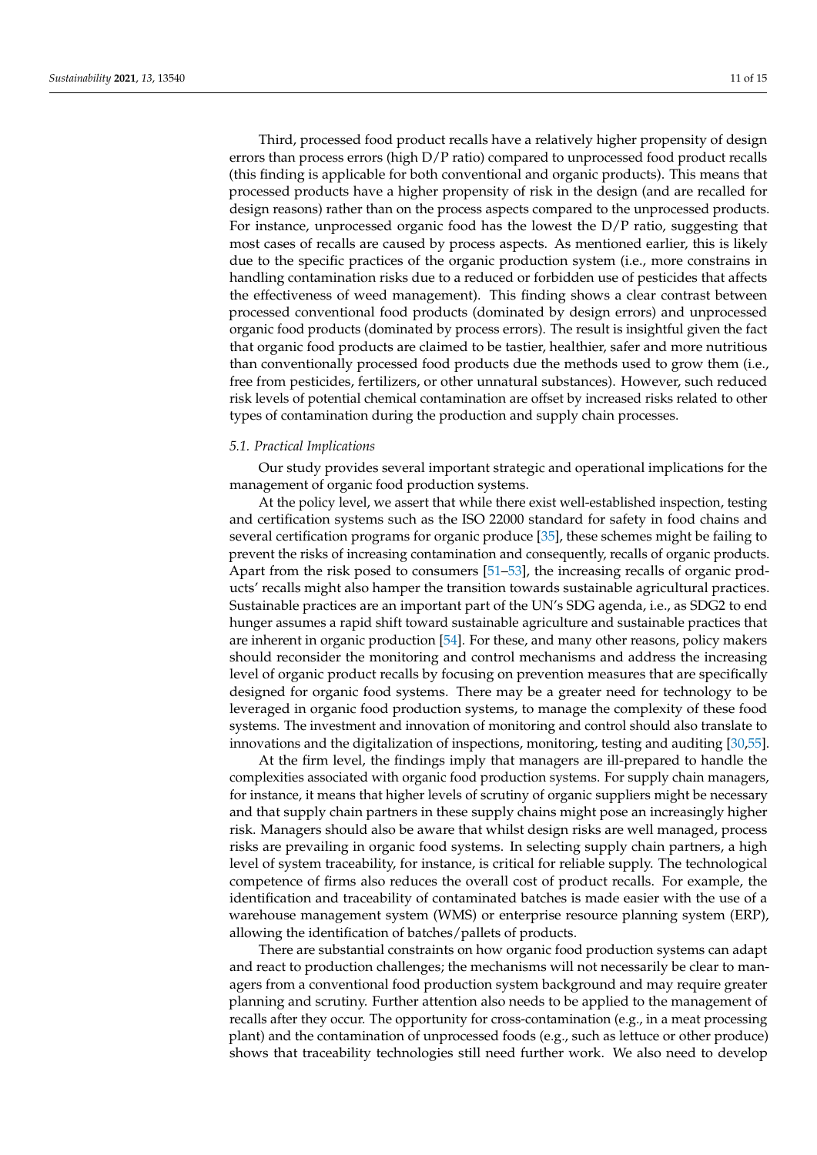Third, processed food product recalls have a relatively higher propensity of design errors than process errors (high D/P ratio) compared to unprocessed food product recalls (this finding is applicable for both conventional and organic products). This means that processed products have a higher propensity of risk in the design (and are recalled for design reasons) rather than on the process aspects compared to the unprocessed products. For instance, unprocessed organic food has the lowest the D/P ratio, suggesting that most cases of recalls are caused by process aspects. As mentioned earlier, this is likely due to the specific practices of the organic production system (i.e., more constrains in handling contamination risks due to a reduced or forbidden use of pesticides that affects the effectiveness of weed management). This finding shows a clear contrast between processed conventional food products (dominated by design errors) and unprocessed organic food products (dominated by process errors). The result is insightful given the fact that organic food products are claimed to be tastier, healthier, safer and more nutritious than conventionally processed food products due the methods used to grow them (i.e., free from pesticides, fertilizers, or other unnatural substances). However, such reduced risk levels of potential chemical contamination are offset by increased risks related to other types of contamination during the production and supply chain processes.

#### *5.1. Practical Implications*

Our study provides several important strategic and operational implications for the management of organic food production systems.

At the policy level, we assert that while there exist well-established inspection, testing and certification systems such as the ISO 22000 standard for safety in food chains and several certification programs for organic produce [\[35\]](#page-13-21), these schemes might be failing to prevent the risks of increasing contamination and consequently, recalls of organic products. Apart from the risk posed to consumers [\[51](#page-14-8)[–53\]](#page-14-9), the increasing recalls of organic products' recalls might also hamper the transition towards sustainable agricultural practices. Sustainable practices are an important part of the UN's SDG agenda, i.e., as SDG2 to end hunger assumes a rapid shift toward sustainable agriculture and sustainable practices that are inherent in organic production [\[54\]](#page-14-10). For these, and many other reasons, policy makers should reconsider the monitoring and control mechanisms and address the increasing level of organic product recalls by focusing on prevention measures that are specifically designed for organic food systems. There may be a greater need for technology to be leveraged in organic food production systems, to manage the complexity of these food systems. The investment and innovation of monitoring and control should also translate to innovations and the digitalization of inspections, monitoring, testing and auditing [\[30,](#page-13-17)[55\]](#page-14-11).

At the firm level, the findings imply that managers are ill-prepared to handle the complexities associated with organic food production systems. For supply chain managers, for instance, it means that higher levels of scrutiny of organic suppliers might be necessary and that supply chain partners in these supply chains might pose an increasingly higher risk. Managers should also be aware that whilst design risks are well managed, process risks are prevailing in organic food systems. In selecting supply chain partners, a high level of system traceability, for instance, is critical for reliable supply. The technological competence of firms also reduces the overall cost of product recalls. For example, the identification and traceability of contaminated batches is made easier with the use of a warehouse management system (WMS) or enterprise resource planning system (ERP), allowing the identification of batches/pallets of products.

There are substantial constraints on how organic food production systems can adapt and react to production challenges; the mechanisms will not necessarily be clear to managers from a conventional food production system background and may require greater planning and scrutiny. Further attention also needs to be applied to the management of recalls after they occur. The opportunity for cross-contamination (e.g., in a meat processing plant) and the contamination of unprocessed foods (e.g., such as lettuce or other produce) shows that traceability technologies still need further work. We also need to develop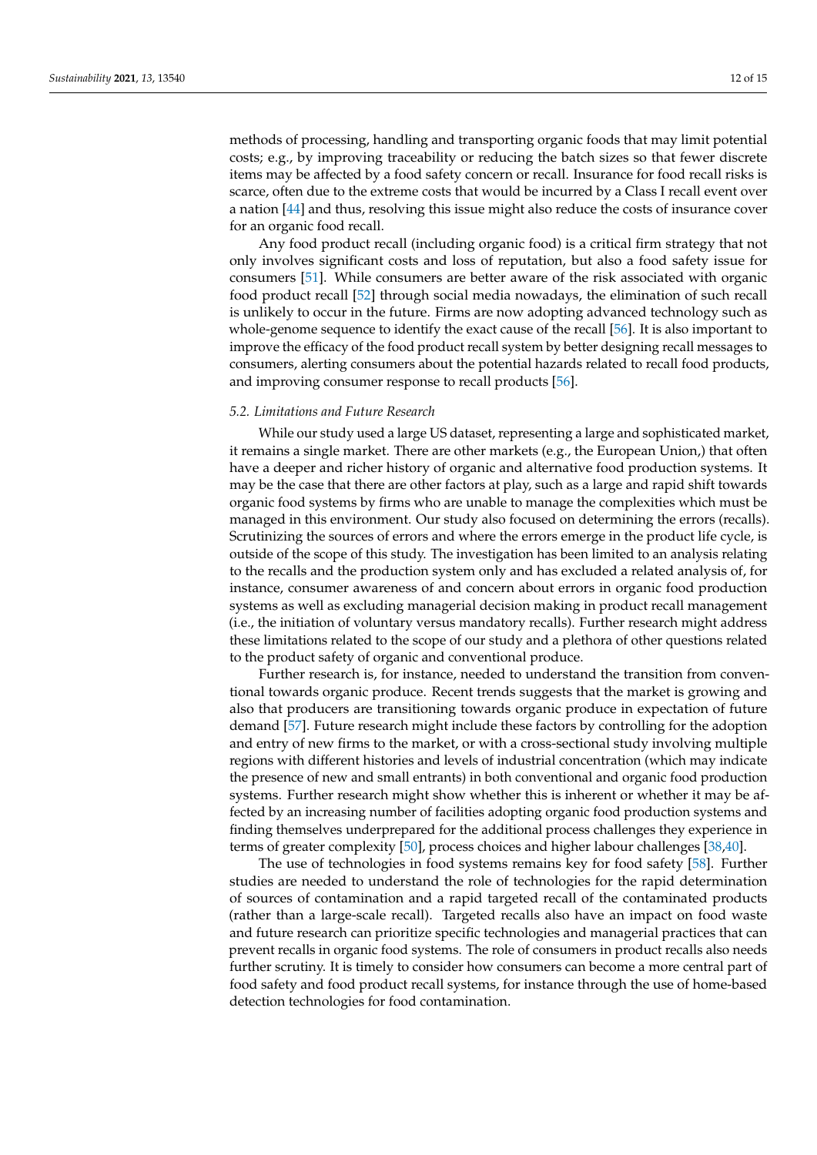methods of processing, handling and transporting organic foods that may limit potential costs; e.g., by improving traceability or reducing the batch sizes so that fewer discrete items may be affected by a food safety concern or recall. Insurance for food recall risks is scarce, often due to the extreme costs that would be incurred by a Class I recall event over a nation [\[44\]](#page-14-1) and thus, resolving this issue might also reduce the costs of insurance cover for an organic food recall.

Any food product recall (including organic food) is a critical firm strategy that not only involves significant costs and loss of reputation, but also a food safety issue for consumers [\[51\]](#page-14-8). While consumers are better aware of the risk associated with organic food product recall [\[52\]](#page-14-12) through social media nowadays, the elimination of such recall is unlikely to occur in the future. Firms are now adopting advanced technology such as whole-genome sequence to identify the exact cause of the recall [\[56\]](#page-14-13). It is also important to improve the efficacy of the food product recall system by better designing recall messages to consumers, alerting consumers about the potential hazards related to recall food products, and improving consumer response to recall products [\[56\]](#page-14-13).

## *5.2. Limitations and Future Research*

While our study used a large US dataset, representing a large and sophisticated market, it remains a single market. There are other markets (e.g., the European Union,) that often have a deeper and richer history of organic and alternative food production systems. It may be the case that there are other factors at play, such as a large and rapid shift towards organic food systems by firms who are unable to manage the complexities which must be managed in this environment. Our study also focused on determining the errors (recalls). Scrutinizing the sources of errors and where the errors emerge in the product life cycle, is outside of the scope of this study. The investigation has been limited to an analysis relating to the recalls and the production system only and has excluded a related analysis of, for instance, consumer awareness of and concern about errors in organic food production systems as well as excluding managerial decision making in product recall management (i.e., the initiation of voluntary versus mandatory recalls). Further research might address these limitations related to the scope of our study and a plethora of other questions related to the product safety of organic and conventional produce.

Further research is, for instance, needed to understand the transition from conventional towards organic produce. Recent trends suggests that the market is growing and also that producers are transitioning towards organic produce in expectation of future demand [\[57\]](#page-14-14). Future research might include these factors by controlling for the adoption and entry of new firms to the market, or with a cross-sectional study involving multiple regions with different histories and levels of industrial concentration (which may indicate the presence of new and small entrants) in both conventional and organic food production systems. Further research might show whether this is inherent or whether it may be affected by an increasing number of facilities adopting organic food production systems and finding themselves underprepared for the additional process challenges they experience in terms of greater complexity [\[50\]](#page-14-7), process choices and higher labour challenges [\[38,](#page-13-24)[40\]](#page-13-26).

The use of technologies in food systems remains key for food safety [\[58\]](#page-14-15). Further studies are needed to understand the role of technologies for the rapid determination of sources of contamination and a rapid targeted recall of the contaminated products (rather than a large-scale recall). Targeted recalls also have an impact on food waste and future research can prioritize specific technologies and managerial practices that can prevent recalls in organic food systems. The role of consumers in product recalls also needs further scrutiny. It is timely to consider how consumers can become a more central part of food safety and food product recall systems, for instance through the use of home-based detection technologies for food contamination.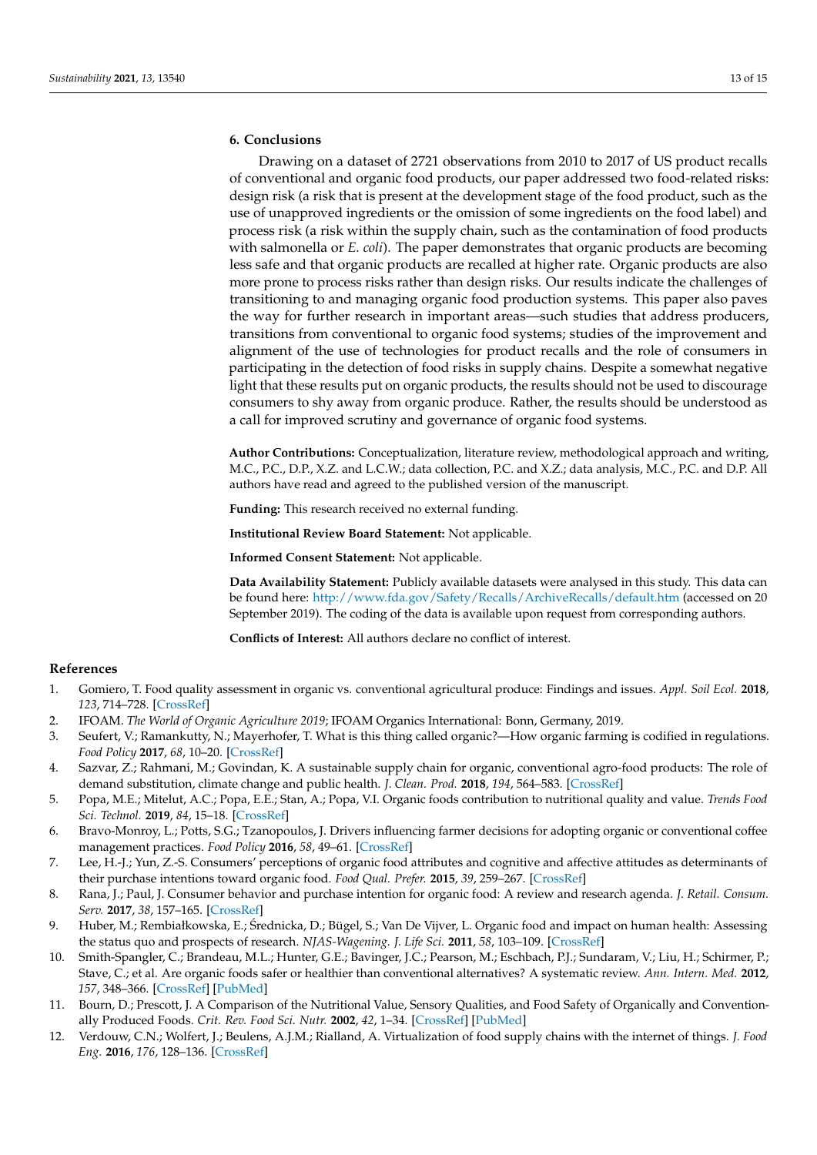# **6. Conclusions**

Drawing on a dataset of 2721 observations from 2010 to 2017 of US product recalls of conventional and organic food products, our paper addressed two food-related risks: design risk (a risk that is present at the development stage of the food product, such as the use of unapproved ingredients or the omission of some ingredients on the food label) and process risk (a risk within the supply chain, such as the contamination of food products with salmonella or *E. coli*). The paper demonstrates that organic products are becoming less safe and that organic products are recalled at higher rate. Organic products are also more prone to process risks rather than design risks. Our results indicate the challenges of transitioning to and managing organic food production systems. This paper also paves the way for further research in important areas—such studies that address producers, transitions from conventional to organic food systems; studies of the improvement and alignment of the use of technologies for product recalls and the role of consumers in participating in the detection of food risks in supply chains. Despite a somewhat negative light that these results put on organic products, the results should not be used to discourage consumers to shy away from organic produce. Rather, the results should be understood as a call for improved scrutiny and governance of organic food systems.

**Author Contributions:** Conceptualization, literature review, methodological approach and writing, M.C., P.C., D.P., X.Z. and L.C.W.; data collection, P.C. and X.Z.; data analysis, M.C., P.C. and D.P. All authors have read and agreed to the published version of the manuscript.

**Funding:** This research received no external funding.

**Institutional Review Board Statement:** Not applicable.

**Informed Consent Statement:** Not applicable.

**Data Availability Statement:** Publicly available datasets were analysed in this study. This data can be found here: <http://www.fda.gov/Safety/Recalls/ArchiveRecalls/default.htm> (accessed on 20 September 2019). The coding of the data is available upon request from corresponding authors.

**Conflicts of Interest:** All authors declare no conflict of interest.

## **References**

- <span id="page-12-0"></span>1. Gomiero, T. Food quality assessment in organic vs. conventional agricultural produce: Findings and issues. *Appl. Soil Ecol.* **2018**, *123*, 714–728. [\[CrossRef\]](http://doi.org/10.1016/j.apsoil.2017.10.014)
- <span id="page-12-1"></span>2. IFOAM. *The World of Organic Agriculture 2019*; IFOAM Organics International: Bonn, Germany, 2019.
- <span id="page-12-2"></span>3. Seufert, V.; Ramankutty, N.; Mayerhofer, T. What is this thing called organic?—How organic farming is codified in regulations. *Food Policy* **2017**, *68*, 10–20. [\[CrossRef\]](http://doi.org/10.1016/j.foodpol.2016.12.009)
- <span id="page-12-3"></span>4. Sazvar, Z.; Rahmani, M.; Govindan, K. A sustainable supply chain for organic, conventional agro-food products: The role of demand substitution, climate change and public health. *J. Clean. Prod.* **2018**, *194*, 564–583. [\[CrossRef\]](http://doi.org/10.1016/j.jclepro.2018.04.118)
- <span id="page-12-4"></span>5. Popa, M.E.; Mitelut, A.C.; Popa, E.E.; Stan, A.; Popa, V.I. Organic foods contribution to nutritional quality and value. *Trends Food Sci. Technol.* **2019**, *84*, 15–18. [\[CrossRef\]](http://doi.org/10.1016/j.tifs.2018.01.003)
- <span id="page-12-5"></span>6. Bravo-Monroy, L.; Potts, S.G.; Tzanopoulos, J. Drivers influencing farmer decisions for adopting organic or conventional coffee management practices. *Food Policy* **2016**, *58*, 49–61. [\[CrossRef\]](http://doi.org/10.1016/j.foodpol.2015.11.003)
- <span id="page-12-6"></span>7. Lee, H.-J.; Yun, Z.-S. Consumers' perceptions of organic food attributes and cognitive and affective attitudes as determinants of their purchase intentions toward organic food. *Food Qual. Prefer.* **2015**, *39*, 259–267. [\[CrossRef\]](http://doi.org/10.1016/j.foodqual.2014.06.002)
- <span id="page-12-7"></span>8. Rana, J.; Paul, J. Consumer behavior and purchase intention for organic food: A review and research agenda. *J. Retail. Consum. Serv.* **2017**, *38*, 157–165. [\[CrossRef\]](http://doi.org/10.1016/j.jretconser.2017.06.004)
- <span id="page-12-8"></span>9. Huber, M.; Rembiałkowska, E.; Srednicka, D.; Bügel, S.; Van De Vijver, L. Organic food and impact on human health: Assessing ´ the status quo and prospects of research. *NJAS-Wagening. J. Life Sci.* **2011**, *58*, 103–109. [\[CrossRef\]](http://doi.org/10.1016/j.njas.2011.01.004)
- <span id="page-12-9"></span>10. Smith-Spangler, C.; Brandeau, M.L.; Hunter, G.E.; Bavinger, J.C.; Pearson, M.; Eschbach, P.J.; Sundaram, V.; Liu, H.; Schirmer, P.; Stave, C.; et al. Are organic foods safer or healthier than conventional alternatives? A systematic review. *Ann. Intern. Med.* **2012**, *157*, 348–366. [\[CrossRef\]](http://doi.org/10.7326/0003-4819-157-5-201209040-00007) [\[PubMed\]](http://www.ncbi.nlm.nih.gov/pubmed/22944875)
- <span id="page-12-10"></span>11. Bourn, D.; Prescott, J. A Comparison of the Nutritional Value, Sensory Qualities, and Food Safety of Organically and Conventionally Produced Foods. *Crit. Rev. Food Sci. Nutr.* **2002**, *42*, 1–34. [\[CrossRef\]](http://doi.org/10.1080/10408690290825439) [\[PubMed\]](http://www.ncbi.nlm.nih.gov/pubmed/11833635)
- <span id="page-12-11"></span>12. Verdouw, C.N.; Wolfert, J.; Beulens, A.J.M.; Rialland, A. Virtualization of food supply chains with the internet of things. *J. Food Eng.* **2016**, *176*, 128–136. [\[CrossRef\]](http://doi.org/10.1016/j.jfoodeng.2015.11.009)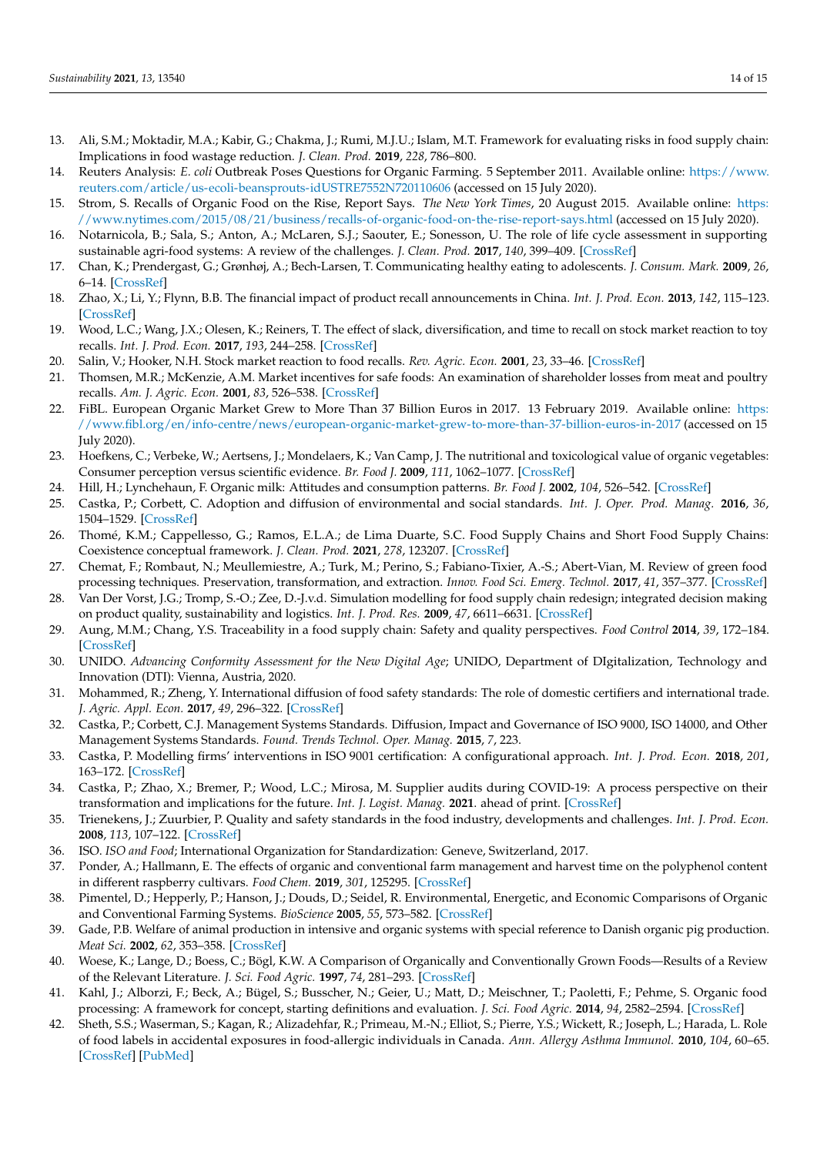- <span id="page-13-0"></span>13. Ali, S.M.; Moktadir, M.A.; Kabir, G.; Chakma, J.; Rumi, M.J.U.; Islam, M.T. Framework for evaluating risks in food supply chain: Implications in food wastage reduction. *J. Clean. Prod.* **2019**, *228*, 786–800.
- <span id="page-13-1"></span>14. Reuters Analysis: *E. coli* Outbreak Poses Questions for Organic Farming. 5 September 2011. Available online: [https://www.](https://www.reuters.com/article/us-ecoli-beansprouts-idUSTRE7552N720110606) [reuters.com/article/us-ecoli-beansprouts-idUSTRE7552N720110606](https://www.reuters.com/article/us-ecoli-beansprouts-idUSTRE7552N720110606) (accessed on 15 July 2020).
- <span id="page-13-2"></span>15. Strom, S. Recalls of Organic Food on the Rise, Report Says. *The New York Times*, 20 August 2015. Available online: [https:](https://www.nytimes.com/2015/08/21/business/recalls-of-organic-food-on-the-rise-report-says.html) [//www.nytimes.com/2015/08/21/business/recalls-of-organic-food-on-the-rise-report-says.html](https://www.nytimes.com/2015/08/21/business/recalls-of-organic-food-on-the-rise-report-says.html) (accessed on 15 July 2020).
- <span id="page-13-3"></span>16. Notarnicola, B.; Sala, S.; Anton, A.; McLaren, S.J.; Saouter, E.; Sonesson, U. The role of life cycle assessment in supporting sustainable agri-food systems: A review of the challenges. *J. Clean. Prod.* **2017**, *140*, 399–409. [\[CrossRef\]](http://doi.org/10.1016/j.jclepro.2016.06.071)
- <span id="page-13-4"></span>17. Chan, K.; Prendergast, G.; Grønhøj, A.; Bech-Larsen, T. Communicating healthy eating to adolescents. *J. Consum. Mark.* **2009**, *26*, 6–14. [\[CrossRef\]](http://doi.org/10.1108/07363760910927000)
- <span id="page-13-5"></span>18. Zhao, X.; Li, Y.; Flynn, B.B. The financial impact of product recall announcements in China. *Int. J. Prod. Econ.* **2013**, *142*, 115–123. [\[CrossRef\]](http://doi.org/10.1016/j.ijpe.2012.10.018)
- <span id="page-13-6"></span>19. Wood, L.C.; Wang, J.X.; Olesen, K.; Reiners, T. The effect of slack, diversification, and time to recall on stock market reaction to toy recalls. *Int. J. Prod. Econ.* **2017**, *193*, 244–258. [\[CrossRef\]](http://doi.org/10.1016/j.ijpe.2017.07.021)
- <span id="page-13-7"></span>20. Salin, V.; Hooker, N.H. Stock market reaction to food recalls. *Rev. Agric. Econ.* **2001**, *23*, 33–46. [\[CrossRef\]](http://doi.org/10.1111/1058-7195.00044)
- <span id="page-13-8"></span>21. Thomsen, M.R.; McKenzie, A.M. Market incentives for safe foods: An examination of shareholder losses from meat and poultry recalls. *Am. J. Agric. Econ.* **2001**, *83*, 526–538. [\[CrossRef\]](http://doi.org/10.1111/0002-9092.00175)
- <span id="page-13-9"></span>22. FiBL. European Organic Market Grew to More Than 37 Billion Euros in 2017. 13 February 2019. Available online: [https:](https://www.fibl.org/en/info-centre/news/european-organic-market-grew-to-more-than-37-billion-euros-in-2017) [//www.fibl.org/en/info-centre/news/european-organic-market-grew-to-more-than-37-billion-euros-in-2017](https://www.fibl.org/en/info-centre/news/european-organic-market-grew-to-more-than-37-billion-euros-in-2017) (accessed on 15 July 2020).
- <span id="page-13-10"></span>23. Hoefkens, C.; Verbeke, W.; Aertsens, J.; Mondelaers, K.; Van Camp, J. The nutritional and toxicological value of organic vegetables: Consumer perception versus scientific evidence. *Br. Food J.* **2009**, *111*, 1062–1077. [\[CrossRef\]](http://doi.org/10.1108/00070700920992916)
- <span id="page-13-11"></span>24. Hill, H.; Lynchehaun, F. Organic milk: Attitudes and consumption patterns. *Br. Food J.* **2002**, *104*, 526–542. [\[CrossRef\]](http://doi.org/10.1108/00070700210434570)
- <span id="page-13-12"></span>25. Castka, P.; Corbett, C. Adoption and diffusion of environmental and social standards. *Int. J. Oper. Prod. Manag.* **2016**, *36*, 1504–1529. [\[CrossRef\]](http://doi.org/10.1108/IJOPM-01-2015-0037)
- <span id="page-13-13"></span>26. Thomé, K.M.; Cappellesso, G.; Ramos, E.L.A.; de Lima Duarte, S.C. Food Supply Chains and Short Food Supply Chains: Coexistence conceptual framework. *J. Clean. Prod.* **2021**, *278*, 123207. [\[CrossRef\]](http://doi.org/10.1016/j.jclepro.2020.123207)
- <span id="page-13-14"></span>27. Chemat, F.; Rombaut, N.; Meullemiestre, A.; Turk, M.; Perino, S.; Fabiano-Tixier, A.-S.; Abert-Vian, M. Review of green food processing techniques. Preservation, transformation, and extraction. *Innov. Food Sci. Emerg. Technol.* **2017**, *41*, 357–377. [\[CrossRef\]](http://doi.org/10.1016/j.ifset.2017.04.016)
- <span id="page-13-15"></span>28. Van Der Vorst, J.G.; Tromp, S.-O.; Zee, D.-J.v.d. Simulation modelling for food supply chain redesign; integrated decision making on product quality, sustainability and logistics. *Int. J. Prod. Res.* **2009**, *47*, 6611–6631. [\[CrossRef\]](http://doi.org/10.1080/00207540802356747)
- <span id="page-13-16"></span>29. Aung, M.M.; Chang, Y.S. Traceability in a food supply chain: Safety and quality perspectives. *Food Control* **2014**, *39*, 172–184. [\[CrossRef\]](http://doi.org/10.1016/j.foodcont.2013.11.007)
- <span id="page-13-17"></span>30. UNIDO. *Advancing Conformity Assessment for the New Digital Age*; UNIDO, Department of DIgitalization, Technology and Innovation (DTI): Vienna, Austria, 2020.
- <span id="page-13-18"></span>31. Mohammed, R.; Zheng, Y. International diffusion of food safety standards: The role of domestic certifiers and international trade. *J. Agric. Appl. Econ.* **2017**, *49*, 296–322. [\[CrossRef\]](http://doi.org/10.1017/aae.2017.2)
- <span id="page-13-19"></span>32. Castka, P.; Corbett, C.J. Management Systems Standards. Diffusion, Impact and Governance of ISO 9000, ISO 14000, and Other Management Systems Standards. *Found. Trends Technol. Oper. Manag.* **2015**, *7*, 223.
- 33. Castka, P. Modelling firms' interventions in ISO 9001 certification: A configurational approach. *Int. J. Prod. Econ.* **2018**, *201*, 163–172. [\[CrossRef\]](http://doi.org/10.1016/j.ijpe.2018.05.005)
- <span id="page-13-20"></span>34. Castka, P.; Zhao, X.; Bremer, P.; Wood, L.C.; Mirosa, M. Supplier audits during COVID-19: A process perspective on their transformation and implications for the future. *Int. J. Logist. Manag.* **2021**. ahead of print. [\[CrossRef\]](http://doi.org/10.1108/IJLM-05-2021-0302)
- <span id="page-13-21"></span>35. Trienekens, J.; Zuurbier, P. Quality and safety standards in the food industry, developments and challenges. *Int. J. Prod. Econ.* **2008**, *113*, 107–122. [\[CrossRef\]](http://doi.org/10.1016/j.ijpe.2007.02.050)
- <span id="page-13-22"></span>36. ISO. *ISO and Food*; International Organization for Standardization: Geneve, Switzerland, 2017.
- <span id="page-13-23"></span>37. Ponder, A.; Hallmann, E. The effects of organic and conventional farm management and harvest time on the polyphenol content in different raspberry cultivars. *Food Chem.* **2019**, *301*, 125295. [\[CrossRef\]](http://doi.org/10.1016/j.foodchem.2019.125295)
- <span id="page-13-24"></span>38. Pimentel, D.; Hepperly, P.; Hanson, J.; Douds, D.; Seidel, R. Environmental, Energetic, and Economic Comparisons of Organic and Conventional Farming Systems. *BioScience* **2005**, *55*, 573–582. [\[CrossRef\]](http://doi.org/10.1641/0006-3568(2005)055[0573:EEAECO]2.0.CO;2)
- <span id="page-13-25"></span>39. Gade, P.B. Welfare of animal production in intensive and organic systems with special reference to Danish organic pig production. *Meat Sci.* **2002**, *62*, 353–358. [\[CrossRef\]](http://doi.org/10.1016/S0309-1740(02)00123-7)
- <span id="page-13-26"></span>40. Woese, K.; Lange, D.; Boess, C.; Bögl, K.W. A Comparison of Organically and Conventionally Grown Foods—Results of a Review of the Relevant Literature. *J. Sci. Food Agric.* **1997**, *74*, 281–293. [\[CrossRef\]](http://doi.org/10.1002/(SICI)1097-0010(199707)74:3<281::AID-JSFA794>3.0.CO;2-Z)
- <span id="page-13-27"></span>41. Kahl, J.; Alborzi, F.; Beck, A.; Bügel, S.; Busscher, N.; Geier, U.; Matt, D.; Meischner, T.; Paoletti, F.; Pehme, S. Organic food processing: A framework for concept, starting definitions and evaluation. *J. Sci. Food Agric.* **2014**, *94*, 2582–2594. [\[CrossRef\]](http://doi.org/10.1002/jsfa.6542)
- <span id="page-13-28"></span>42. Sheth, S.S.; Waserman, S.; Kagan, R.; Alizadehfar, R.; Primeau, M.-N.; Elliot, S.; Pierre, Y.S.; Wickett, R.; Joseph, L.; Harada, L. Role of food labels in accidental exposures in food-allergic individuals in Canada. *Ann. Allergy Asthma Immunol.* **2010**, *104*, 60–65. [\[CrossRef\]](http://doi.org/10.1016/j.anai.2009.11.008) [\[PubMed\]](http://www.ncbi.nlm.nih.gov/pubmed/20143647)